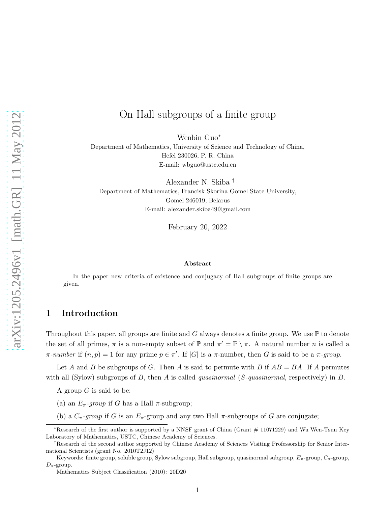# On Hall subgroups of a finite group

Wenbin Guo<sup>∗</sup>

Department of Mathematics, University of Science and Technology of China, Hefei 230026, P. R. China E-mail: wbguo@ustc.edu.cn

Alexander N. Skiba † Department of Mathematics, Francisk Skorina Gomel State University, Gomel 246019, Belarus E-mail: alexander.skiba49@gmail.com

February 20, 2022

#### Abstract

In the paper new criteria of existence and conjugacy of Hall subgroups of finite groups are given.

### 1 Introduction

Throughout this paper, all groups are finite and G always denotes a finite group. We use  $\mathbb P$  to denote the set of all primes,  $\pi$  is a non-empty subset of  $\mathbb P$  and  $\pi' = \mathbb P \setminus \pi$ . A natural number n is called a  $\pi\text{-}number$  if  $(n,p) = 1$  for any prime  $p \in \pi'$ . If  $|G|$  is a  $\pi\text{-}number$ , then G is said to be a  $\pi\text{-}group$ .

Let A and B be subgroups of G. Then A is said to permute with B if  $AB = BA$ . If A permutes with all (Sylow) subgroups of B, then A is called *quasinormal* ( $S$ -quasinormal, respectively) in B.

A group  $G$  is said to be:

- (a) an  $E_{\pi}$ -group if G has a Hall  $\pi$ -subgroup;
- (b) a  $C_{\pi}$ -group if G is an  $E_{\pi}$ -group and any two Hall  $\pi$ -subgroups of G are conjugate;

<sup>∗</sup>Research of the first author is supported by a NNSF grant of China (Grant # 11071229) and Wu Wen-Tsun Key Laboratory of Mathematics, USTC, Chinese Academy of Sciences.

<sup>†</sup>Research of the second author supported by Chinese Academy of Sciences Visiting Professorship for Senior International Scientists (grant No. 2010T2J12)

Keywords: finite group, soluble group, Sylow subgroup, Hall subgroup, quasinormal subgroup,  $E_{\pi}$ -group,  $C_{\pi}$ -group,  $D_{\pi}$ -group.

Mathematics Subject Classification (2010): 20D20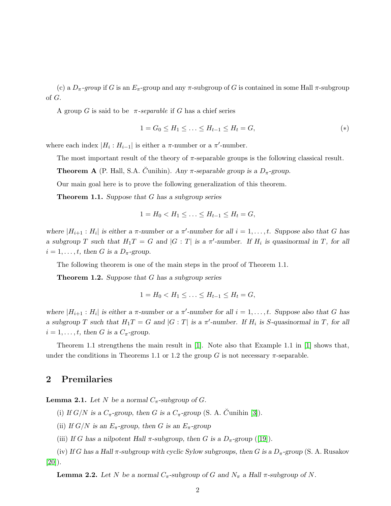(c) a  $D_{\pi}$ -group if G is an  $E_{\pi}$ -group and any  $\pi$ -subgroup of G is contained in some Hall  $\pi$ -subgroup of G.

A group G is said to be  $\pi$ -separable if G has a chief series

$$
1 = G_0 \le H_1 \le \dots \le H_{t-1} \le H_t = G,\tag{*}
$$

where each index  $|H_i: H_{i-1}|$  is either a  $\pi$ -number or a  $\pi'$ -number.

The most important result of the theory of  $\pi$ -separable groups is the following classical result.

**Theorem A** (P. Hall, S.A. Cunihin). Any  $\pi$ -separable group is a  $D_{\pi}$ -group.

Our main goal here is to prove the following generalization of this theorem.

**Theorem 1.1.** Suppose that G has a subgroup series

$$
1 = H_0 < H_1 \leq \ldots \leq H_{t-1} \leq H_t = G,
$$

where  $|H_{i+1}: H_i|$  is either a  $\pi$ -number or a  $\pi'$ -number for all  $i = 1, \ldots, t$ . Suppose also that G has a subgroup T such that  $H_1T = G$  and  $|G : T|$  is a  $\pi'$ -number. If  $H_i$  is quasinormal in T, for all  $i = 1, \ldots, t$ , then G is a  $D_{\pi}$ -group.

The following theorem is one of the main steps in the proof of Theorem 1.1.

**Theorem 1.2.** Suppose that G has a subgroup series

$$
1 = H_0 < H_1 \leq \ldots \leq H_{t-1} \leq H_t = G,
$$

where  $|H_{i+1}: H_i|$  is either a  $\pi$ -number or a  $\pi'$ -number for all  $i = 1, \ldots, t$ . Suppose also that G has a subgroup T such that  $H_1T = G$  and  $|G:T|$  is a  $\pi'$ -number. If  $H_i$  is S-quasinormal in T, for all  $i = 1, \ldots, t$ , then G is a  $C_{\pi}$ -group.

Theorem 1.1 strengthens the main result in [\[1\]](#page-12-0). Note also that Example 1.1 in [\[1\]](#page-12-0) shows that, under the conditions in Theorems 1.1 or 1.2 the group G is not necessary  $\pi$ -separable.

#### 2 Premilaries

**Lemma 2.1.** Let N be a normal  $C_{\pi}$ -subgroup of G.

(i) If  $G/N$  is a  $C_{\pi}$ -group, then G is a  $C_{\pi}$ -group (S. A. Cunihin [\[3\]](#page-12-1)).

(ii) If  $G/N$  is an  $E_{\pi}$ -group, then G is an  $E_{\pi}$ -group

(iii) If G has a nilpotent Hall  $\pi$ -subgroup, then G is a  $D_{\pi}$ -group ([\[19\]](#page-13-0)).

(iv) If G has a Hall  $\pi$ -subgroup with cyclic Sylow subgroups, then G is a  $D_{\pi}$ -group (S. A. Rusakov [\[20\]](#page-13-1)).

**Lemma 2.2.** Let N be a normal  $C_{\pi}$ -subgroup of G and  $N_{\pi}$  a Hall  $\pi$ -subgroup of N.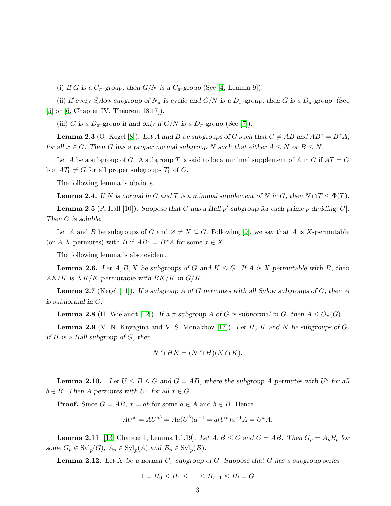(i) If G is a  $C_{\pi}$ -group, then  $G/N$  is a  $C_{\pi}$ -group (See [\[4,](#page-12-2) Lemma 9]).

(ii) If every Sylow subgroup of  $N_{\pi}$  is cyclic and  $G/N$  is a  $D_{\pi}$ -group, then G is a  $D_{\pi}$ -group (See [\[5\]](#page-12-3) or [\[6,](#page-12-4) Chapter IV, Theorem 18.17]).

(iii) G is a  $D_{\pi}$ -group if and only if  $G/N$  is a  $D_{\pi}$ -group (See [\[7\]](#page-12-5)).

**Lemma 2.3** (O. Kegel [\[8\]](#page-12-6)). Let A and B be subgroups of G such that  $G \neq AB$  and  $AB^x = B^xA$ , for all  $x \in G$ . Then G has a proper normal subgroup N such that either  $A \leq N$  or  $B \leq N$ .

Let A be a subgroup of G. A subgroup T is said to be a minimal supplement of A in G if  $AT = G$ but  $AT_0 \neq G$  for all proper subgroups  $T_0$  of G.

The following lemma is obvious.

**Lemma 2.4.** If N is normal in G and T is a minimal supplement of N in G, then  $N \cap T \leq \Phi(T)$ .

**Lemma 2.5** (P. Hall [\[10\]](#page-12-7)). Suppose that G has a Hall p'-subgroup for each prime p dividing  $|G|$ . Then G is soluble.

Let A and B be subgroups of G and  $\emptyset \neq X \subseteq G$ . Following [\[9\]](#page-12-8), we say that A is X-permutable (or A X-permutes) with B if  $AB^x = B^xA$  for some  $x \in X$ .

The following lemma is also evident.

**Lemma 2.6.** Let  $A, B, X$  be subgroups of G and  $K \subseteq G$ . If A is X-permutable with B, then  $AK/K$  is  $XK/K$ -permutable with  $BK/K$  in  $G/K$ .

**Lemma 2.7** (Kegel [\[11\]](#page-12-9)). If a subgroup A of G permutes with all Sylow subgroups of G, then A is subnormal in G.

**Lemma 2.8** (H. Wielandt [\[12\]](#page-12-10)). If a  $\pi$ -subgroup A of G is subnormal in G, then  $A \leq O_{\pi}(G)$ .

**Lemma 2.9** (V. N. Knyagina and V. S. Monakhov [\[17\]](#page-13-2)). Let  $H$ ,  $K$  and  $N$  be subgroups of  $G$ . If  $H$  is a Hall subgroup of  $G$ , then

$$
N \cap HK = (N \cap H)(N \cap K).
$$

**Lemma 2.10.** Let  $U \leq B \leq G$  and  $G = AB$ , where the subgroup A permutes with  $U^b$  for all  $b \in B$ . Then A permutes with  $U^x$  for all  $x \in G$ .

**Proof.** Since  $G = AB$ ,  $x = ab$  for some  $a \in A$  and  $b \in B$ . Hence

$$
AU^{x} = AU^{ab} = Aa(U^{b})a^{-1} = a(U^{b})a^{-1}A = U^{x}A.
$$

**Lemma 2.11** [\[13,](#page-12-11) Chapter I, Lemma 1.1.19]. Let  $A, B \le G$  and  $G = AB$ . Then  $G_p = A_p B_p$  for some  $G_p \in \mathrm{Syl}_p(G)$ ,  $A_p \in \mathrm{Syl}_p(A)$  and  $B_p \in \mathrm{Syl}_p(B)$ .

**Lemma 2.12.** Let X be a normal  $C_{\pi}$ -subgroup of G. Suppose that G has a subgroup series

$$
1 = H_0 \le H_1 \le \ldots \le H_{t-1} \le H_t = G
$$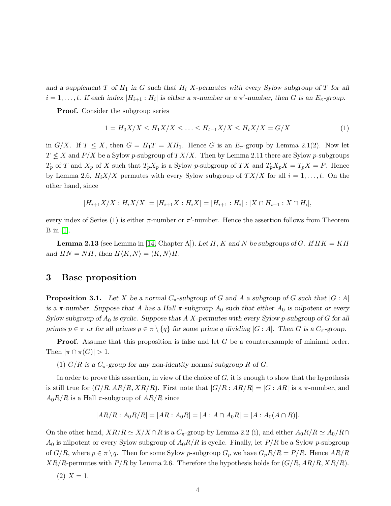and a supplement T of  $H_1$  in G such that  $H_i$  X-permutes with every Sylow subgroup of T for all  $i = 1, \ldots, t$ . If each index  $|H_{i+1} : H_i|$  is either a  $\pi$ -number or a  $\pi'$ -number, then G is an  $E_{\pi}$ -group.

Proof. Consider the subgroup series

$$
1 = H_0 X / X \le H_1 X / X \le \dots \le H_{t-1} X / X \le H_t X / X = G / X \tag{1}
$$

in  $G/X$ . If  $T \leq X$ , then  $G = H_1T = XH_1$ . Hence G is an  $E_{\pi}$ -group by Lemma 2.1(2). Now let  $T\nleq X$  and  $P/X$  be a Sylow  $p$ -subgroup of  $TX/X$  . Then by Lemma 2.11 there are Sylow  $p$ -subgroups  $T_p$  of T and  $X_p$  of X such that  $T_pX_p$  is a Sylow p-subgroup of TX and  $T_pX_pX = T_pX = P$ . Hence by Lemma 2.6,  $H_i X/X$  permutes with every Sylow subgroup of  $TX/X$  for all  $i = 1, \ldots, t$ . On the other hand, since

$$
|H_{i+1}X/X:H_iX/X|=|H_{i+1}X:H_iX|=|H_{i+1}:H_i|:|X\cap H_{i+1}:X\cap H_i|,
$$

every index of Series (1) is either  $\pi$ -number or  $\pi'$ -number. Hence the assertion follows from Theorem B in [\[1\]](#page-12-0).

**Lemma 2.13** (see Lemma in [\[14,](#page-12-12) Chapter A]). Let H, K and N be subgroups of G. If  $HK = KH$ and  $HN = NH$ , then  $H\langle K, N \rangle = \langle K, N \rangle H$ .

#### 3 Base proposition

**Proposition 3.1.** Let X be a normal  $C_{\pi}$ -subgroup of G and A a subgroup of G such that  $|G : A|$ is a  $\pi$ -number. Suppose that A has a Hall  $\pi$ -subgroup  $A_0$  such that either  $A_0$  is nilpotent or every Sylow subgroup of  $A_0$  is cyclic. Suppose that A X-permutes with every Sylow p-subgroup of G for all primes  $p \in \pi$  or for all primes  $p \in \pi \setminus \{q\}$  for some prime q dividing  $|G : A|$ . Then G is a  $C_{\pi}$ -group.

**Proof.** Assume that this proposition is false and let G be a counterexample of minimal order. Then  $|\pi \cap \pi(G)| > 1$ .

(1)  $G/R$  is a  $C_{\pi}$ -group for any non-identity normal subgroup R of G.

In order to prove this assertion, in view of the choice of  $G$ , it is enough to show that the hypothesis is still true for  $(G/R, AR/R, XR/R)$ . First note that  $|G/R : AR/R| = |G:AR|$  is a  $\pi$ -number, and  $A_0R/R$  is a Hall  $\pi$ -subgroup of  $AR/R$  since

$$
|AR/R : A_0R/R| = |AR : A_0R| = |A : A \cap A_0R| = |A : A_0(A \cap R)|.
$$

On the other hand,  $XR/R \simeq X/X \cap R$  is a  $C_{\pi}$ -group by Lemma 2.2 (i), and either  $A_0R/R \simeq A_0/R \cap R$  $A_0$  is nilpotent or every Sylow subgroup of  $A_0R/R$  is cyclic. Finally, let  $P/R$  be a Sylow p-subgroup of  $G/R$ , where  $p \in \pi \setminus q$ . Then for some Sylow p-subgroup  $G_p$  we have  $G_pR/R = P/R$ . Hence  $AR/R$  $XR/R$ -permutes with  $P/R$  by Lemma 2.6. Therefore the hypothesis holds for  $(G/R, AR/R, XR/R)$ .

$$
(2) X = 1.
$$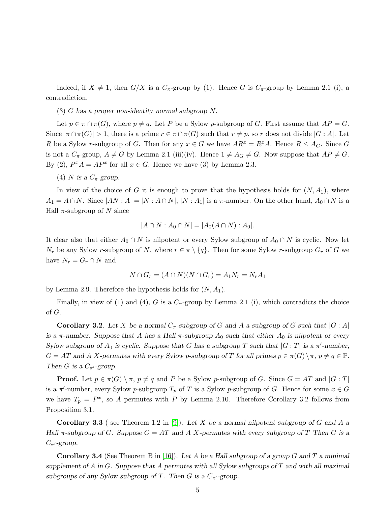Indeed, if  $X \neq 1$ , then  $G/X$  is a  $C_{\pi}$ -group by (1). Hence G is  $C_{\pi}$ -group by Lemma 2.1 (i), a contradiction.

(3) G has a proper non-identity normal subgroup N.

Let  $p \in \pi \cap \pi(G)$ , where  $p \neq q$ . Let P be a Sylow p-subgroup of G. First assume that  $AP = G$ . Since  $|\pi \cap \pi(G)| > 1$ , there is a prime  $r \in \pi \cap \pi(G)$  such that  $r \neq p$ , so r does not divide  $|G : A|$ . Let R be a Sylow r-subgroup of G. Then for any  $x \in G$  we have  $AR^x = R^xA$ . Hence  $R \leq A_G$ . Since G is not a  $C_{\pi}$ -group,  $A \neq G$  by Lemma 2.1 (iii)(iv). Hence  $1 \neq A_G \neq G$ . Now suppose that  $AP \neq G$ . By (2),  $P^x A = AP^x$  for all  $x \in G$ . Hence we have (3) by Lemma 2.3.

(4) N is a  $C_{\pi}$ -group.

In view of the choice of G it is enough to prove that the hypothesis holds for  $(N, A<sub>1</sub>)$ , where  $A_1 = A \cap N$ . Since  $|AN : A| = |N : A \cap N|$ ,  $|N : A_1|$  is a  $\pi$ -number. On the other hand,  $A_0 \cap N$  is a Hall  $\pi$ -subgroup of N since

$$
|A \cap N : A_0 \cap N| = |A_0(A \cap N) : A_0|.
$$

It clear also that either  $A_0 \cap N$  is nilpotent or every Sylow subgroup of  $A_0 \cap N$  is cyclic. Now let  $N_r$  be any Sylow r-subgroup of N, where  $r \in \pi \setminus \{q\}$ . Then for some Sylow r-subgroup  $G_r$  of G we have  $N_r = G_r \cap N$  and

$$
N \cap G_r = (A \cap N)(N \cap G_r) = A_1 N_r = N_r A_1
$$

by Lemma 2.9. Therefore the hypothesis holds for  $(N, A_1)$ .

Finally, in view of (1) and (4), G is a  $C_{\pi}$ -group by Lemma 2.1 (i), which contradicts the choice of G.

**Corollary 3.2**. Let X be a normal  $C_{\pi}$ -subgroup of G and A a subgroup of G such that  $|G : A|$ is a  $\pi$ -number. Suppose that A has a Hall  $\pi$ -subgroup  $A_0$  such that either  $A_0$  is nilpotent or every Sylow subgroup of  $A_0$  is cyclic. Suppose that G has a subgroup T such that  $|G:T|$  is a  $\pi'$ -number,  $G = AT$  and A X-permutes with every Sylow p-subgroup of T for all primes  $p \in \pi(G) \setminus \pi$ ,  $p \neq q \in \mathbb{P}$ . Then G is a  $C_{\pi}$ -group.

**Proof.** Let  $p \in \pi(G) \setminus \pi$ ,  $p \neq q$  and P be a Sylow p-subgroup of G. Since  $G = AT$  and  $|G : T|$ is a  $\pi'$ -number, every Sylow p-subgroup  $T_p$  of T is a Sylow p-subgroup of G. Hence for some  $x \in G$ we have  $T_p = P^x$ , so A permutes with P by Lemma 2.10. Therefore Corollary 3.2 follows from Proposition 3.1.

**Corollary 3.3** (see Theorem 1.2 in [\[9\]](#page-12-8)). Let X be a normal nilpotent subgroup of G and A a Hall  $\pi$ -subgroup of G. Suppose  $G = AT$  and A X-permutes with every subgroup of T Then G is a  $C_{\pi}$ -group.

**Corollary 3.4** (See Theorem B in [\[16\]](#page-13-3)). Let A be a Hall subgroup of a group G and T a minimal supplement of A in G. Suppose that A permutes with all Sylow subgroups of  $T$  and with all maximal subgroups of any Sylow subgroup of T. Then G is a  $C_{\pi'}$ -group.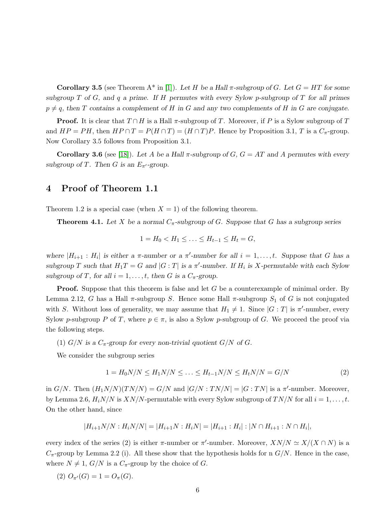Corollary 3.5 (see Theorem A<sup>\*</sup> in [\[1\]](#page-12-0)). Let H be a Hall  $\pi$ -subgroup of G. Let  $G = HT$  for some subgroup  $T$  of  $G$ , and  $q$  a prime. If  $H$  permutes with every Sylow p-subgroup of  $T$  for all primes  $p \neq q$ , then T contains a complement of H in G and any two complements of H in G are conjugate.

**Proof.** It is clear that  $T \cap H$  is a Hall  $\pi$ -subgroup of T. Moreover, if P is a Sylow subgroup of T and  $HP = PH$ , then  $HP \cap T = P(H \cap T) = (H \cap T)P$ . Hence by Proposition 3.1, T is a  $C_{\pi}$ -group. Now Corollary 3.5 follows from Proposition 3.1.

Corollary 3.6 (see [\[18\]](#page-13-4)). Let A be a Hall  $\pi$ -subgroup of G,  $G = AT$  and A permutes with every subgroup of T. Then G is an  $E_{\pi}$ -group.

#### 4 Proof of Theorem 1.1

Theorem 1.2 is a special case (when  $X = 1$ ) of the following theorem.

**Theorem 4.1.** Let X be a normal  $C_{\pi}$ -subgroup of G. Suppose that G has a subgroup series

$$
1 = H_0 < H_1 \leq \ldots \leq H_{t-1} \leq H_t = G,
$$

where  $|H_{i+1}: H_i|$  is either a  $\pi$ -number or a  $\pi'$ -number for all  $i = 1, \ldots, t$ . Suppose that G has a subgroup T such that  $H_1T = G$  and  $|G:T|$  is a  $\pi'$ -number. If  $H_i$  is X-permutable with each Sylow subgroup of T, for all  $i = 1, \ldots, t$ , then G is a  $C_{\pi}$ -group.

**Proof.** Suppose that this theorem is false and let G be a counterexample of minimal order. By Lemma 2.12, G has a Hall  $\pi$ -subgroup S. Hence some Hall  $\pi$ -subgroup  $S_1$  of G is not conjugated with S. Without loss of generality, we may assume that  $H_1 \neq 1$ . Since  $|G : T|$  is  $\pi'$ -number, every Sylow p-subgroup P of T, where  $p \in \pi$ , is also a Sylow p-subgroup of G. We proceed the proof via the following steps.

(1)  $G/N$  is a  $C_{\pi}$ -group for every non-trivial quotient  $G/N$  of G.

We consider the subgroup series

$$
1 = H_0 N/N \le H_1 N/N \le \dots \le H_{t-1} N/N \le H_t N/N = G/N \tag{2}
$$

in  $G/N$ . Then  $(H_1N/N)(TN/N) = G/N$  and  $|G/N : TN/N| = |G : TN|$  is a  $\pi'$ -number. Moreover, by Lemma 2.6,  $H_iN/N$  is  $XN/N$ -permutable with every Sylow subgroup of  $TN/N$  for all  $i = 1, \ldots, t$ . On the other hand, since

$$
|H_{i+1}N/N: H_iN/N| = |H_{i+1}N: H_iN| = |H_{i+1}: H_i| : |N \cap H_{i+1}: N \cap H_i|,
$$

every index of the series (2) is either  $\pi$ -number or  $\pi'$ -number. Moreover,  $XN/N \simeq X/(X \cap N)$  is a  $C_{\pi}$ -group by Lemma 2.2 (i). All these show that the hypothesis holds for n  $G/N$ . Hence in the case, where  $N \neq 1$ ,  $G/N$  is a  $C_{\pi}$ -group by the choice of G.

(2)  $O_{\pi'}(G) = 1 = O_{\pi}(G)$ .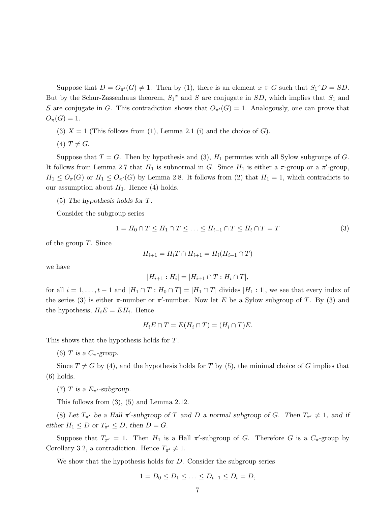Suppose that  $D = O_{\pi'}(G) \neq 1$ . Then by (1), there is an element  $x \in G$  such that  $S_1^{\{x\}}D = SD$ . But by the Schur-Zassenhaus theorem,  $S_1^x$  and S are conjugate in SD, which implies that  $S_1$  and S are conjugate in G. This contradiction shows that  $O_{\pi'}(G) = 1$ . Analogously, one can prove that  $O_{\pi}(G) = 1.$ 

- (3)  $X = 1$  (This follows from (1), Lemma 2.1 (i) and the choice of G).
- $(4)$   $T \neq G$ .

Suppose that  $T = G$ . Then by hypothesis and (3),  $H_1$  permutes with all Sylow subgroups of G. It follows from Lemma 2.7 that  $H_1$  is subnormal in G. Since  $H_1$  is either a  $\pi$ -group or a  $\pi$ '-group,  $H_1 \leq O_{\pi}(G)$  or  $H_1 \leq O_{\pi'}(G)$  by Lemma 2.8. It follows from (2) that  $H_1 = 1$ , which contradicts to our assumption about  $H_1$ . Hence (4) holds.

(5) The hypothesis holds for T.

Consider the subgroup series

$$
1 = H_0 \cap T \le H_1 \cap T \le \dots \le H_{t-1} \cap T \le H_t \cap T = T \tag{3}
$$

of the group  $T$ . Since

$$
H_{i+1} = H_i T \cap H_{i+1} = H_i (H_{i+1} \cap T)
$$

we have

$$
|H_{i+1}:H_i| = |H_{i+1} \cap T: H_i \cap T|,
$$

for all  $i = 1, ..., t - 1$  and  $|H_1 \cap T : H_0 \cap T| = |H_1 \cap T|$  divides  $|H_1 : 1|$ , we see that every index of the series (3) is either  $\pi$ -number or  $\pi'$ -number. Now let E be a Sylow subgroup of T. By (3) and the hypothesis,  $H_i E = E H_i$ . Hence

$$
H_i E \cap T = E(H_i \cap T) = (H_i \cap T)E.
$$

This shows that the hypothesis holds for T.

(6) T is a  $C_{\pi}$ -group.

Since  $T \neq G$  by (4), and the hypothesis holds for T by (5), the minimal choice of G implies that (6) holds.

(7) T is a  $E_{\pi}$ -subgroup.

This follows from (3), (5) and Lemma 2.12.

(8) Let  $T_{\pi'}$  be a Hall  $\pi'$ -subgroup of T and D a normal subgroup of G. Then  $T_{\pi'} \neq 1$ , and if either  $H_1 \leq D$  or  $T_{\pi'} \leq D$ , then  $D = G$ .

Suppose that  $T_{\pi'} = 1$ . Then  $H_1$  is a Hall  $\pi'$ -subgroup of G. Therefore G is a  $C_{\pi}$ -group by Corollary 3.2, a contradiction. Hence  $T_{\pi'} \neq 1$ .

We show that the hypothesis holds for  $D$ . Consider the subgroup series

$$
1 = D_0 \le D_1 \le \ldots \le D_{t-1} \le D_t = D,
$$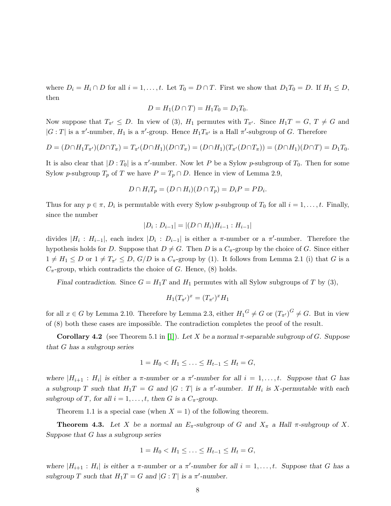where  $D_i = H_i \cap D$  for all  $i = 1, \ldots, t$ . Let  $T_0 = D \cap T$ . First we show that  $D_1 T_0 = D$ . If  $H_1 \leq D$ , then

$$
D = H_1(D \cap T) = H_1 T_0 = D_1 T_0.
$$

Now suppose that  $T_{\pi'} \leq D$ . In view of (3),  $H_1$  permutes with  $T_{\pi'}$ . Since  $H_1T = G$ ,  $T \neq G$  and  $|G:T|$  is a  $\pi'$ -number,  $H_1$  is a  $\pi'$ -group. Hence  $H_1T_{\pi'}$  is a Hall  $\pi'$ -subgroup of G. Therefore

$$
D = (D \cap H_1 T_{\pi'}) (D \cap T_{\pi}) = T_{\pi'} (D \cap H_1) (D \cap T_{\pi}) = (D \cap H_1) (T_{\pi'} (D \cap T_{\pi})) = (D \cap H_1) (D \cap T) = D_1 T_0.
$$

It is also clear that  $|D: T_0|$  is a  $\pi'$ -number. Now let P be a Sylow p-subgroup of  $T_0$ . Then for some Sylow p-subgroup  $T_p$  of T we have  $P = T_p \cap D$ . Hence in view of Lemma 2.9,

$$
D \cap H_i T_p = (D \cap H_i)(D \cap T_p) = D_i P = P D_i.
$$

Thus for any  $p \in \pi$ ,  $D_i$  is permutable with every Sylow p-subgroup of  $T_0$  for all  $i = 1, \ldots, t$ . Finally, since the number

$$
|D_i : D_{i-1}| = |(D \cap H_i)H_{i-1} : H_{i-1}|
$$

divides  $|H_i: H_{i-1}|$ , each index  $|D_i: D_{i-1}|$  is either a  $\pi$ -number or a  $\pi'$ -number. Therefore the hypothesis holds for D. Suppose that  $D \neq G$ . Then D is a  $C_{\pi}$ -group by the choice of G. Since either  $1 \neq H_1 \leq D$  or  $1 \neq T_{\pi'} \leq D$ ,  $G/D$  is a  $C_{\pi}$ -group by (1). It follows from Lemma 2.1 (i) that G is a  $C_{\pi}$ -group, which contradicts the choice of G. Hence, (8) holds.

Final contradiction. Since  $G = H_1T$  and  $H_1$  permutes with all Sylow subgroups of T by (3),

$$
H_1(T_{\pi'})^x = (T_{\pi'})^x H_1
$$

for all  $x \in G$  by Lemma 2.10. Therefore by Lemma 2.3, either  $H_1^G \neq G$  or  $(T_{\pi'})^G \neq G$ . But in view of (8) both these cases are impossible. The contradiction completes the proof of the result.

Corollary 4.2 (see Theorem 5.1 in [\[1\]](#page-12-0)). Let X be a normal  $\pi$ -separable subgroup of G. Suppose that G has a subgroup series

$$
1 = H_0 < H_1 \leq \ldots \leq H_{t-1} \leq H_t = G,
$$

where  $|H_{i+1} : H_i|$  is either a  $\pi$ -number or a  $\pi'$ -number for all  $i = 1, \ldots, t$ . Suppose that G has a subgroup T such that  $H_1T = G$  and  $|G : T|$  is a  $\pi'$ -number. If  $H_i$  is X-permutable with each subgroup of T, for all  $i = 1, \ldots, t$ , then G is a  $C_{\pi}$ -group.

Theorem 1.1 is a special case (when  $X = 1$ ) of the following theorem.

**Theorem 4.3.** Let X be a normal an  $E_{\pi}$ -subgroup of G and  $X_{\pi}$  a Hall  $\pi$ -subgroup of X. Suppose that G has a subgroup series

$$
1 = H_0 < H_1 \leq \ldots \leq H_{t-1} \leq H_t = G,
$$

where  $|H_{i+1}: H_i|$  is either a  $\pi$ -number or a  $\pi'$ -number for all  $i = 1, \ldots, t$ . Suppose that G has a subgroup T such that  $H_1T = G$  and  $|G:T|$  is a  $\pi'$ -number.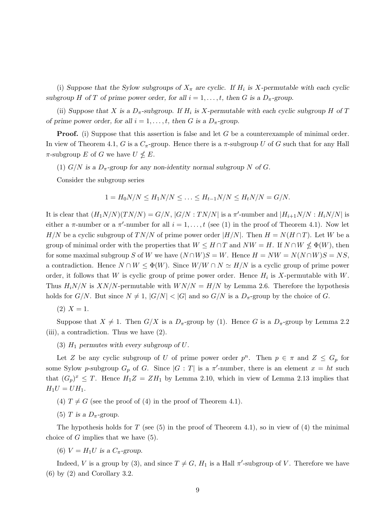(i) Suppose that the Sylow subgroups of  $X_{\pi}$  are cyclic. If  $H_i$  is X-permutable with each cyclic subgroup H of T of prime power order, for all  $i = 1, \ldots, t$ , then G is a  $D_{\pi}$ -group.

(ii) Suppose that X is a  $D_{\pi}$ -subgroup. If  $H_i$  is X-permutable with each cyclic subgroup H of T of prime power order, for all  $i = 1, \ldots, t$ , then G is a  $D_{\pi}$ -group.

**Proof.** (i) Suppose that this assertion is false and let G be a counterexample of minimal order. In view of Theorem 4.1, G is a  $C_{\pi}$ -group. Hence there is a  $\pi$ -subgroup U of G such that for any Hall  $\pi$ -subgroup E of G we have  $U \nleq E$ .

(1)  $G/N$  is a  $D_{\pi}$ -group for any non-identity normal subgroup N of G.

Consider the subgroup series

$$
1 = H_0 N/N \le H_1 N/N \le \ldots \le H_{t-1} N/N \le H_t N/N = G/N.
$$

It is clear that  $(H_1N/N)(TN/N) = G/N$ ,  $|G/N : TN/N|$  is a  $\pi'$ -number and  $|H_{i+1}N/N : H_iN/N|$  is either a  $\pi$ -number or a  $\pi'$ -number for all  $i = 1, \ldots, t$  (see (1) in the proof of Theorem 4.1). Now let H/N be a cyclic subgroup of TN/N of prime power order  $|H/N|$ . Then  $H = N(H \cap T)$ . Let W be a group of minimal order with the properties that  $W \leq H \cap T$  and  $NW = H$ . If  $N \cap W \nleq \Phi(W)$ , then for some maximal subgroup S of W we have  $(N \cap W)S = W$ . Hence  $H = NW = N(N \cap W)S = NS$ , a contradiction. Hence  $N \cap W \leq \Phi(W)$ . Since  $W/W \cap N \simeq H/N$  is a cyclic group of prime power order, it follows that W is cyclic group of prime power order. Hence  $H_i$  is X-permutable with W. Thus  $H_iN/N$  is  $XN/N$ -permutable with  $WN/N = H/N$  by Lemma 2.6. Therefore the hypothesis holds for  $G/N$ . But since  $N \neq 1$ ,  $|G/N| < |G|$  and so  $G/N$  is a  $D_{\pi}$ -group by the choice of G.

 $(2)$   $X = 1$ .

Suppose that  $X \neq 1$ . Then  $G/X$  is a  $D_{\pi}$ -group by (1). Hence G is a  $D_{\pi}$ -group by Lemma 2.2 (iii), a contradiction. Thus we have (2).

(3)  $H_1$  permutes with every subgroup of  $U$ .

Let Z be any cyclic subgroup of U of prime power order  $p^n$ . Then  $p \in \pi$  and  $Z \leq G_p$  for some Sylow p-subgroup  $G_p$  of G. Since  $|G : T|$  is a  $\pi'$ -number, there is an element  $x = ht$  such that  $(G_p)^x \leq T$ . Hence  $H_1Z = ZH_1$  by Lemma 2.10, which in view of Lemma 2.13 implies that  $H_1U = UH_1.$ 

- (4)  $T \neq G$  (see the proof of (4) in the proof of Theorem 4.1).
- (5) T is a  $D_{\pi}$ -group.

The hypothesis holds for T (see  $(5)$  in the proof of Theorem 4.1), so in view of  $(4)$  the minimal choice of  $G$  implies that we have  $(5)$ .

(6)  $V = H_1 U$  is a  $C_{\pi}$ -group.

Indeed, V is a group by (3), and since  $T \neq G$ ,  $H_1$  is a Hall  $\pi'$ -subgroup of V. Therefore we have (6) by (2) and Corollary 3.2.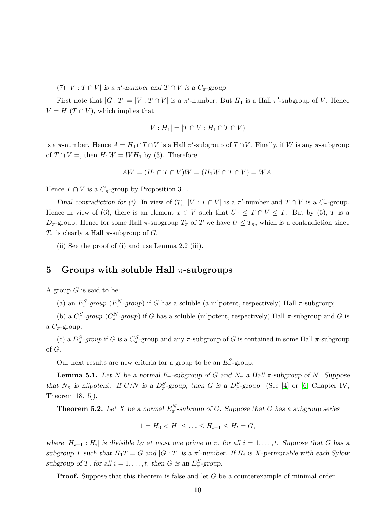(7) |V :  $T \cap V$ | is a  $\pi'$ -number and  $T \cap V$  is a  $C_{\pi}$ -group.

First note that  $|G:T| = |V:T \cap V|$  is a  $\pi'$ -number. But  $H_1$  is a Hall  $\pi'$ -subgroup of V. Hence  $V = H_1(T \cap V)$ , which implies that

$$
|V: H_1| = |T \cap V: H_1 \cap T \cap V|
$$

is a  $\pi$ -number. Hence  $A = H_1 \cap T \cap V$  is a Hall  $\pi'$ -subgroup of  $T \cap V$ . Finally, if W is any  $\pi$ -subgroup of  $T \cap V =$ , then  $H_1 W = W H_1$  by (3). Therefore

$$
AW = (H_1 \cap T \cap V)W = (H_1 W \cap T \cap V) = WA.
$$

Hence  $T \cap V$  is a  $C_{\pi}$ -group by Proposition 3.1.

Final contradiction for (i). In view of (7),  $|V : T \cap V|$  is a  $\pi'$ -number and  $T \cap V$  is a  $C_{\pi}$ -group. Hence in view of (6), there is an element  $x \in V$  such that  $U^x \leq T \cap V \leq T$ . But by (5), T is a  $D_{\pi}$ -group. Hence for some Hall  $\pi$ -subgroup  $T_{\pi}$  of T we have  $U \leq T_{\pi}$ , which is a contradiction since  $T_{\pi}$  is clearly a Hall  $\pi$ -subgroup of G.

(ii) See the proof of (i) and use Lemma 2.2 (iii).

#### 5 Groups with soluble Hall  $\pi$ -subgroups

A group  $G$  is said to be:

(a) an  $E_{\pi}^{S}$ -group ( $E_{\pi}^{N}$ -group) if G has a soluble (a nilpotent, respectively) Hall  $\pi$ -subgroup;

(b) a  $C^S_\pi$ -group  $(C^N_\pi$ -group) if G has a soluble (nilpotent, respectively) Hall  $\pi$ -subgroup and G is a  $C_{\pi}$ -group;

(c) a  $D^S_\pi$ -group if G is a  $C^S_\pi$ -group and any  $\pi$ -subgroup of G is contained in some Hall  $\pi$ -subgroup of G.

Our next results are new criteria for a group to be an  $E_{\pi}^{S}$ -group.

**Lemma 5.1.** Let N be a normal  $E_{\pi}$ -subgroup of G and  $N_{\pi}$  a Hall  $\pi$ -subgroup of N. Suppose that  $N_{\pi}$  is nilpotent. If  $G/N$  is a  $D_{\pi}^S$ -group, then G is a  $D_{\pi}^S$ -group (See [\[4\]](#page-12-2) or [\[6,](#page-12-4) Chapter IV, Theorem 18.15]).

**Theorem 5.2.** Let X be a normal  $E_{\pi}^N$ -subroup of G. Suppose that G has a subgroup series

$$
1 = H_0 < H_1 \leq \ldots \leq H_{t-1} \leq H_t = G,
$$

where  $|H_{i+1}: H_i|$  is divisible by at most one prime in  $\pi$ , for all  $i = 1, \ldots, t$ . Suppose that G has a subgroup T such that  $H_1T = G$  and  $|G:T|$  is a  $\pi'$ -number. If  $H_i$  is X-permutable with each Sylow subgroup of T, for all  $i = 1, ..., t$ , then G is an  $E_{\pi}^S$ -group.

**Proof.** Suppose that this theorem is false and let G be a counterexample of minimal order.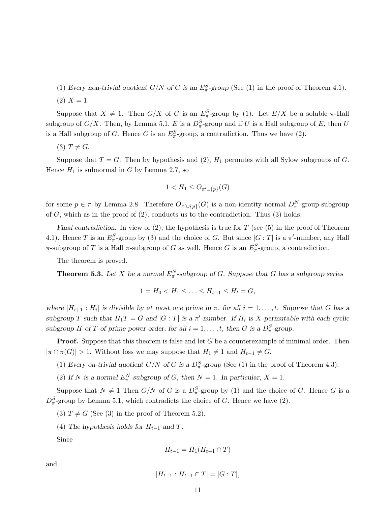(1) Every non-trivial quotient  $G/N$  of G is an  $E_{\pi}^{S}$ -group (See (1) in the proof of Theorem 4.1).

(2) 
$$
X = 1
$$
.

Suppose that  $X \neq 1$ . Then  $G/X$  of G is an  $E^S_\pi$ -group by (1). Let  $E/X$  be a soluble  $\pi$ -Hall subgroup of  $G/X$ . Then, by Lemma 5.1, E is a  $D_{\pi}^S$ -group and if U is a Hall subgroup of E, then U is a Hall subgroup of G. Hence G is an  $E_{\pi}^S$ -group, a contradiction. Thus we have (2).

 $(3)$   $T \neq G$ .

Suppose that  $T = G$ . Then by hypothesis and (2),  $H_1$  permutes with all Sylow subgroups of G. Hence  $H_1$  is subnormal in G by Lemma 2.7, so

$$
1 < H_1 \leq O_{\pi' \cup \{p\}}(G)
$$

for some  $p \in \pi$  by Lemma 2.8. Therefore  $O_{\pi' \cup \{p\}}(G)$  is a non-identity normal  $D^N_{\pi}$ -group-subgroup of  $G$ , which as in the proof of  $(2)$ , conducts us to the contradiction. Thus  $(3)$  holds.

Final contradiction. In view of  $(2)$ , the hypothesis is true for T (see  $(5)$  in the proof of Theorem 4.1). Hence T is an  $E_{\pi}^{S}$ -group by (3) and the choice of G. But since  $|G:T|$  is a  $\pi'$ -number, any Hall  $\pi$ -subgroup of T is a Hall  $\pi$ -subgroup of G as well. Hence G is an  $E_{\pi}^S$ -group, a contradiction.

The theorem is proved.

**Theorem 5.3.** Let X be a normal  $E_{\pi}^N$ -subgroup of G. Suppose that G has a subgroup series

$$
1 = H_0 < H_1 \leq \ldots \leq H_{t-1} \leq H_t = G,
$$

where  $|H_{i+1}: H_i|$  is divisible by at most one prime in  $\pi$ , for all  $i = 1, \ldots, t$ . Suppose that G has a subgroup T such that  $H_1T = G$  and  $|G:T|$  is a  $\pi'$ -number. If  $H_i$  is X-permutable with each cyclic subgroup H of T of prime power order, for all  $i = 1, ..., t$ , then G is a  $D_{\pi}^S$ -group.

**Proof.** Suppose that this theorem is false and let  $G$  be a counterexample of minimal order. Then  $|\pi \cap \pi(G)| > 1$ . Without loss we may suppose that  $H_1 \neq 1$  and  $H_{t-1} \neq G$ .

- (1) Every on-trivial quotient  $G/N$  of G is a  $D^S_\pi$ -group (See (1) in the proof of Theorem 4.3).
- (2) If N is a normal  $E_{\pi}^N$ -subgroup of G, then  $N = 1$ . In particular,  $X = 1$ .

Suppose that  $N \neq 1$  Then  $G/N$  of G is a  $D_{\pi}^S$ -group by (1) and the choice of G. Hence G is a  $D_{\pi}^{S}$ -group by Lemma 5.1, which contradicts the choice of G. Hence we have (2).

- (3)  $T \neq G$  (See (3) in the proof of Theorem 5.2).
- (4) The hypothesis holds for  $H_{t-1}$  and T.

Since

$$
H_{t-1} = H_1(H_{t-1} \cap T)
$$

and

$$
|H_{t-1}: H_{t-1} \cap T| = |G:T|,
$$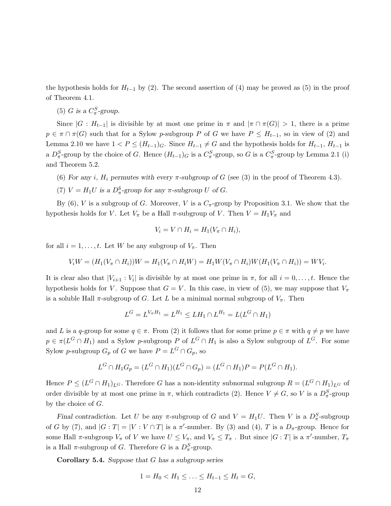the hypothesis holds for  $H_{t-1}$  by (2). The second assertion of (4) may be proved as (5) in the proof of Theorem 4.1.

(5) G is a  $C^S_\pi$ -group.

Since  $|G : H_{t-1}|$  is divisible by at most one prime in  $\pi$  and  $|\pi \cap \pi(G)| > 1$ , there is a prime  $p \in \pi \cap \pi(G)$  such that for a Sylow p-subgroup P of G we have  $P \leq H_{t-1}$ , so in view of (2) and Lemma 2.10 we have  $1 < P \leq (H_{t-1})_G$ . Since  $H_{t-1} \neq G$  and the hypothesis holds for  $H_{t-1}$ ,  $H_{t-1}$  is a  $D^S_\pi$ -group by the choice of G. Hence  $(H_{t-1})_G$  is a  $C^S_\pi$ -group, so G is a  $C^S_\pi$ -group by Lemma 2.1 (i) and Theorem 5.2.

- (6) For any i,  $H_i$  permutes with every  $\pi$ -subgroup of G (see (3) in the proof of Theorem 4.3).
- (7)  $V = H_1 U$  is a  $D_\pi^S$ -group for any  $\pi$ -subgroup U of G.

By (6), V is a subgroup of G. Moreover, V is a  $C_{\pi}$ -group by Proposition 3.1. We show that the hypothesis holds for V. Let  $V_{\pi}$  be a Hall  $\pi$ -subgroup of V. Then  $V = H_1 V_{\pi}$  and

$$
V_i = V \cap H_i = H_1(V_\pi \cap H_i),
$$

for all  $i = 1, \ldots, t$ . Let W be any subgroup of  $V_{\pi}$ . Then

$$
V_i W = (H_1(V_{\pi} \cap H_i))W = H_1(V_{\pi} \cap H_i W) = H_1 W(V_{\pi} \cap H_i)W(H_1(V_{\pi} \cap H_i)) = W V_i.
$$

It is clear also that  $|V_{i+1} : V_i|$  is divisible by at most one prime in  $\pi$ , for all  $i = 0, \ldots, t$ . Hence the hypothesis holds for V. Suppose that  $G = V$ . In this case, in view of (5), we may suppose that  $V_{\pi}$ is a soluble Hall  $\pi$ -subgroup of G. Let L be a minimal normal subgroup of  $V_{\pi}$ . Then

$$
L^G = L^{V_{\pi}H_1} = L^{H_1} \le L H_1 \cap L^{H_1} = L(L^G \cap H_1)
$$

and L is a q-group for some  $q \in \pi$ . From (2) it follows that for some prime  $p \in \pi$  with  $q \neq p$  we have  $p \in \pi(L^G \cap H_1)$  and a Sylow p-subgroup P of  $L^G \cap H_1$  is also a Sylow subgroup of  $L^G$ . For some Sylow p-subgroup  $G_p$  of G we have  $P = L^G \cap G_p$ , so

$$
L^{G} \cap H_{1}G_{p} = (L^{G} \cap H_{1})(L^{G} \cap G_{p}) = (L^{G} \cap H_{1})P = P(L^{G} \cap H_{1}).
$$

Hence  $P \leq (L^G \cap H_1)_{L^G}$ . Therefore G has a non-identity subnormal subgroup  $R = (L^G \cap H_1)_{L^G}$  of order divisible by at most one prime in  $\pi$ , which contradicts (2). Hence  $V \neq G$ , so V is a  $D_{\pi}^{S}$ -group by the choice of G.

Final contradiction. Let U be any  $\pi$ -subgroup of G and  $V = H_1U$ . Then V is a  $D_{\pi}^S$ -subgroup of G by (7), and  $|G:T| = |V:V \cap T|$  is a  $\pi'$ -number. By (3) and (4), T is a  $D_{\pi}$ -group. Hence for some Hall  $\pi$ -subgroup  $V_{\pi}$  of V we have  $U \leq V_{\pi}$ , and  $V_{\pi} \leq T_{\pi}$ . But since  $|G:T|$  is a  $\pi'$ -number,  $T_{\pi}$ is a Hall  $\pi$ -subgroup of G. Therefore G is a  $D_{\pi}^S$ -group.

**Corollary 5.4.** Suppose that  $G$  has a subgroup series

$$
1 = H_0 < H_1 \le \ldots \le H_{t-1} \le H_t = G,
$$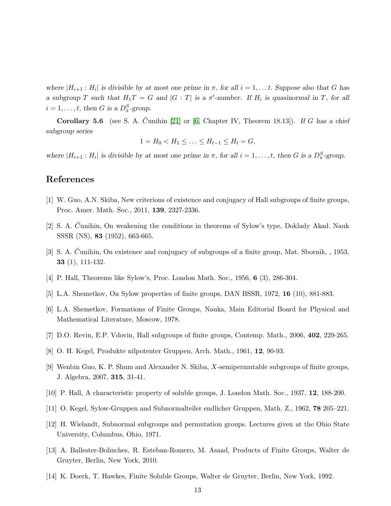where  $|H_{i+1}: H_i|$  is divisible by at most one prime in  $\pi$ , for all  $i = 1, \ldots t$ . Suppose also that G has a subgroup T such that  $H_1T = G$  and  $|G:T|$  is a  $\pi'$ -number. If  $H_i$  is quasinormal in T, for all  $i = 1, \ldots, t$ , then G is a  $D_{\pi}^{S}$ -group.

Corollary 5.6 (see S. A. Cunihin [\[21\]](#page-13-5) or [\[6,](#page-12-4) Chapter IV, Theorem 18.13]). If G has a chief subgroup series

$$
1 = H_0 < H_1 \leq \ldots \leq H_{t-1} \leq H_t = G,
$$

where  $|H_{i+1}: H_i|$  is divisible by at most one prime in  $\pi$ , for all  $i = 1, \ldots, t$ , then G is a  $D_{\pi}^S$ -group.

## <span id="page-12-0"></span>References

- [1] W. Guo, A.N. Skiba, New criterions of existence and conjugacy of Hall subgroups of finite groups, Proc. Amer. Math. Soc., 2011, 139, 2327-2336.
- <span id="page-12-1"></span>[2] S. A. Cunihin, On weakening the conditions in theorems of Sylow's type, Doklady Akad. Nauk SSSR (NS), 83 (1952), 663-665.
- <span id="page-12-2"></span>[3] S. A. Cunihin, On existence and conjugacy of subgroups of a finite group, Mat. Sbornik, , 1953, 33 (1), 111-132.
- <span id="page-12-3"></span>[4] P. Hall, Theorems like Sylow's, Proc. London Math. Soc., 1956, 6 (3), 286-304.
- <span id="page-12-4"></span>[5] L.A. Shemetkov, On Sylow properties of finite groups, DAN BSSR, 1972, 16 (10), 881-883.
- <span id="page-12-5"></span>[6] L.A. Shemetkov, Formations of Finite Groups, Nauka, Main Editorial Board for Physical and Mathematical Literature, Moscow, 1978.
- <span id="page-12-6"></span>[7] D.O. Revin, E.P. Vdovin, Hall subgroups of finite groups, Contemp. Math., 2006, 402, 229-265.
- <span id="page-12-8"></span>[8] O. H. Kegel, Produkte nilpotenter Gruppen, Arch. Math., 1961, 12, 90-93.
- <span id="page-12-7"></span>[9] Wenbin Guo, K. P. Shum and Alexander N. Skiba, X-semipermutable subgroups of finite groups, J. Algebra, 2007, 315, 31-41.
- <span id="page-12-9"></span>[10] P. Hall, A characteristic property of soluble groups, J. London Math. Soc., 1937, 12, 188-200.
- <span id="page-12-10"></span>[11] O. Kegel, Sylow-Gruppen and Subnormalteiler endlicher Gruppen, Math. Z., 1962, 78 205–221.
- <span id="page-12-11"></span>[12] H. Wielandt, Subnormal subgroups and permutation groups. Lectures given at the Ohio State University, Columbus, Ohio, 1971.
- <span id="page-12-12"></span>[13] A. Ballester-Bolinches, R. Esteban-Romero, M. Asaad, Products of Finite Groups, Walter de Gruyter, Berlin, New York, 2010.
- [14] K. Doerk, T. Hawkes, Finite Soluble Groups, Walter de Gruyter, Berlin, New York, 1992.